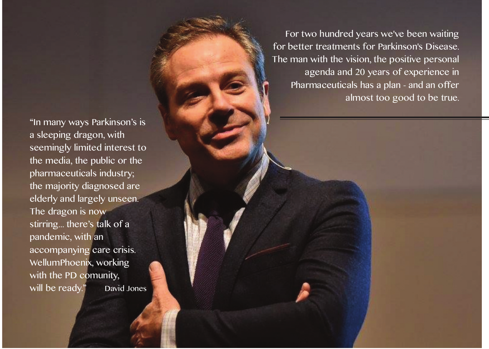"In many ways Parkinson's is a sleeping dragon, with seemingly limited interest to the media, the public or the pharmaceuticals industry; the majority diagnosed are elderly and largely unseen. The dragon is now stirring... there's talk of a pandemic, with an accompanying care crisis. WellumPhoenix, working with the PD comunity,<br>will be ready." David Jones will be ready."

For two hundred years we've been waiting for better treatments for Parkinson's Disease. The man with the vision, the positive personal agenda and 20 years of experience in Pharmaceuticals has a plan - and an offer almost too good to be true.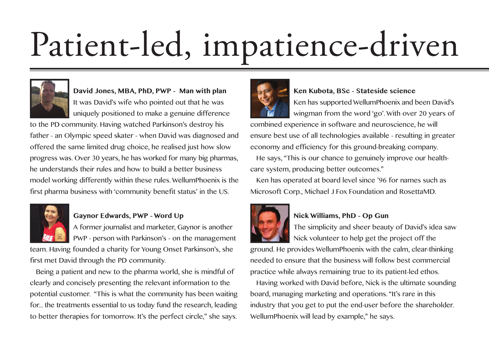# Patient-led, impatience-driven



**David Jones, MBA, PhD, PWP - Man with plan** It was David's wife who pointed out that he was uniquely positioned to make a genuine difference

to the PD community. Having watched Parkinson's destroy his father - an Olympic speed skater - when David was diagnosed and offered the same limited drug choice, he realised just how slow progress was. Over 30 years, he has worked for many big pharmas, he understands their rules and how to build a better business model working differently within these rules.WellumPhoenix is the first pharma business with 'community benefit status' in the US.



## **Gaynor Edwards, PWP - Word Up**

A former journalist and marketer, Gaynor is another PWP - person with Parkinson's - on the management

team. Having founded a charity for Young Onset Parkinson's, she first met David through the PD community.

Being a patient and new to the pharma world, she is mindful of clearly and concisely presenting the relevant information to the potential customer. "This is what the community has been waiting for... the treatments essential to us today fund the research, leading to better therapies for tomorrow. It's the perfect circle," she says.



#### **Ken Kubota, BSc - Stateside science**

Ken has supported WellumPhoenix and been David's wingman from the word 'go'.With over 20 years of

combined experience in software and neuroscience, he will ensure best use of all technologies available - resulting in greater economy and efficiency for this ground-breaking company.

He says, "This is our chance to genuinely improve our healthcare system, producing better outcomes."

Ken has operated at board level since '96 for names such as Microsoft Corp., Michael J Fox Foundation and RosettaMD.



### **Nick Williams, PhD - Op Gun**

The simplicity and sheer beauty of David's idea saw Nick volunteer to help get the project off the

ground. He provides WellumPhoenix with the calm, clear-thinking needed to ensure that the business will follow best commercial practice while always remaining true to its patient-led ethos.

Having worked with David before, Nick is the ultimate sounding board, managing marketing and operations."It's rare in this industry that you get to put the end-user before the shareholder. WellumPhoenix will lead by example," he says.